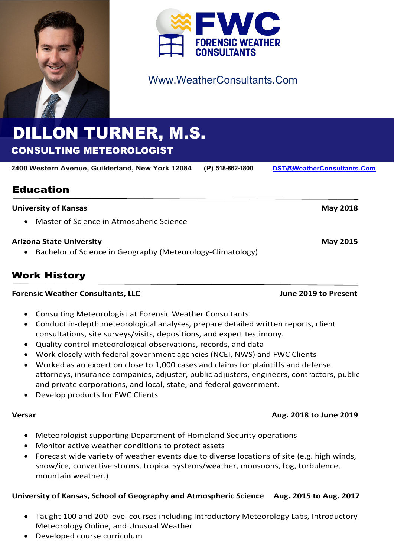



## Www.WeatherConsultants.Com

# DILLON TURNER, M.S. CONSULTING METEOROLOGIST

**2400 Western Avenue, Guilderland, New York 12084 (P) 518-862-1800 [DST@WeatherConsultants.Com](mailto:DST@WeatherConsultants.Com)**

## Education

| <b>University of Kansas</b>                                             | <b>May 2018</b> |
|-------------------------------------------------------------------------|-----------------|
| Master of Science in Atmospheric Science<br>$\bullet$                   |                 |
| <b>Arizona State University</b>                                         | <b>May 2015</b> |
| Bachelor of Science in Geography (Meteorology-Climatology)<br>$\bullet$ |                 |

## Work History

#### **Forensic Weather Consultants, LLC** June 2019 to Present

- Consulting Meteorologist at Forensic Weather Consultants
- Conduct in-depth meteorological analyses, prepare detailed written reports, client consultations, site surveys/visits, depositions, and expert testimony.
- Quality control meteorological observations, records, and data
- Work closely with federal government agencies (NCEI, NWS) and FWC Clients
- Worked as an expert on close to 1,000 cases and claims for plaintiffs and defense attorneys, insurance companies, adjuster, public adjusters, engineers, contractors, public and private corporations, and local, state, and federal government.
- Develop products for FWC Clients

#### **Versar Aug. 2018 to June 2019**

- Meteorologist supporting Department of Homeland Security operations
- Monitor active weather conditions to protect assets
- Forecast wide variety of weather events due to diverse locations of site (e.g. high winds, snow/ice, convective storms, tropical systems/weather, monsoons, fog, turbulence, mountain weather.)

#### **University of Kansas, School of Geography and Atmospheric Science Aug. 2015 to Aug. 2017**

- Taught 100 and 200 level courses including Introductory Meteorology Labs, Introductory Meteorology Online, and Unusual Weather
- Developed course curriculum